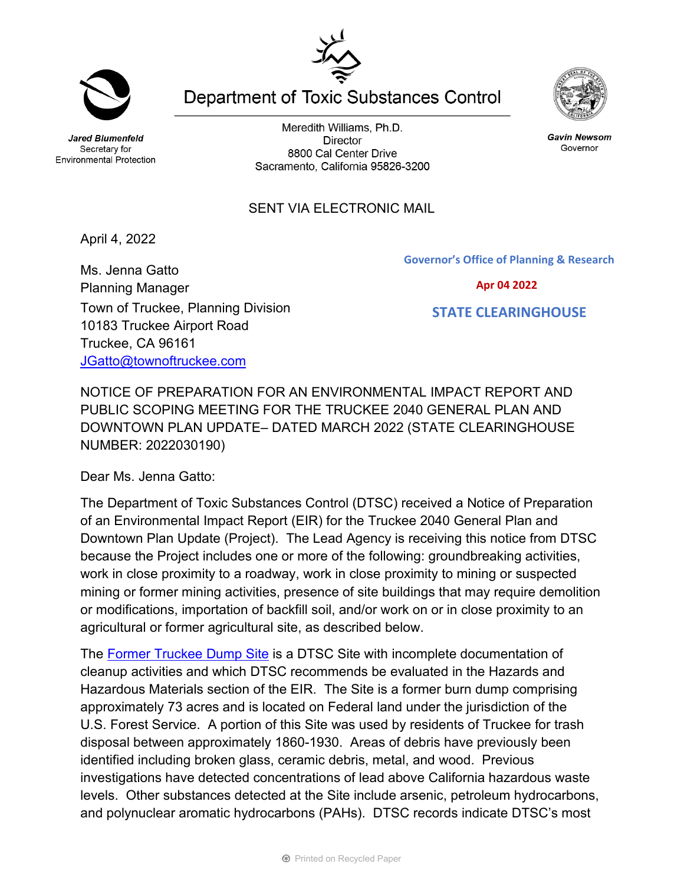**Jared Blumenfeld** 

Meredith Williams, Ph.D. **Director** 8800 Cal Center Drive Sacramento, California 95826-3200

**Department of Toxic Substances Control** 

**Gavin Newsom** Governor

## SENT VIA ELECTRONIC MAIL

April 4, 2022

Ms. Jenna Gatto Planning Manager Town of Truckee, Planning Division 10183 Truckee Airport Road Truckee, CA 96161 [JGatto@townoftruckee.com](mailto:JGatto@townoftruckee.com)

**Governor's Office of Planning & Research**

## **Apr 04 2022**

## **STATE CLEARINGHOUSE**

NOTICE OF PREPARATION FOR AN ENVIRONMENTAL IMPACT REPORT AND PUBLIC SCOPING MEETING FOR THE TRUCKEE 2040 GENERAL PLAN AND DOWNTOWN PLAN UPDATE– DATED MARCH 2022 (STATE CLEARINGHOUSE NUMBER: 2022030190)

Dear Ms. Jenna Gatto:

The Department of Toxic Substances Control (DTSC) received a Notice of Preparation of an Environmental Impact Report (EIR) for the Truckee 2040 General Plan and Downtown Plan Update (Project). The Lead Agency is receiving this notice from DTSC because the Project includes one or more of the following: groundbreaking activities, work in close proximity to a roadway, work in close proximity to mining or suspected mining or former mining activities, presence of site buildings that may require demolition or modifications, importation of backfill soil, and/or work on or in close proximity to an agricultural or former agricultural site, as described below.

The [Former Truckee Dump Site](https://www.envirostor.dtsc.ca.gov/public/profile_report.asp?global_id=60000673) is a DTSC Site with incomplete documentation of cleanup activities and which DTSC recommends be evaluated in the Hazards and Hazardous Materials section of the EIR. The Site is a former burn dump comprising approximately 73 acres and is located on Federal land under the jurisdiction of the U.S. Forest Service. A portion of this Site was used by residents of Truckee for trash disposal between approximately 1860-1930. Areas of debris have previously been identified including broken glass, ceramic debris, metal, and wood. Previous investigations have detected concentrations of lead above California hazardous waste levels. Other substances detected at the Site include arsenic, petroleum hydrocarbons, and polynuclear aromatic hydrocarbons (PAHs). DTSC records indicate DTSC's most



Secretary for

**Environmental Protection**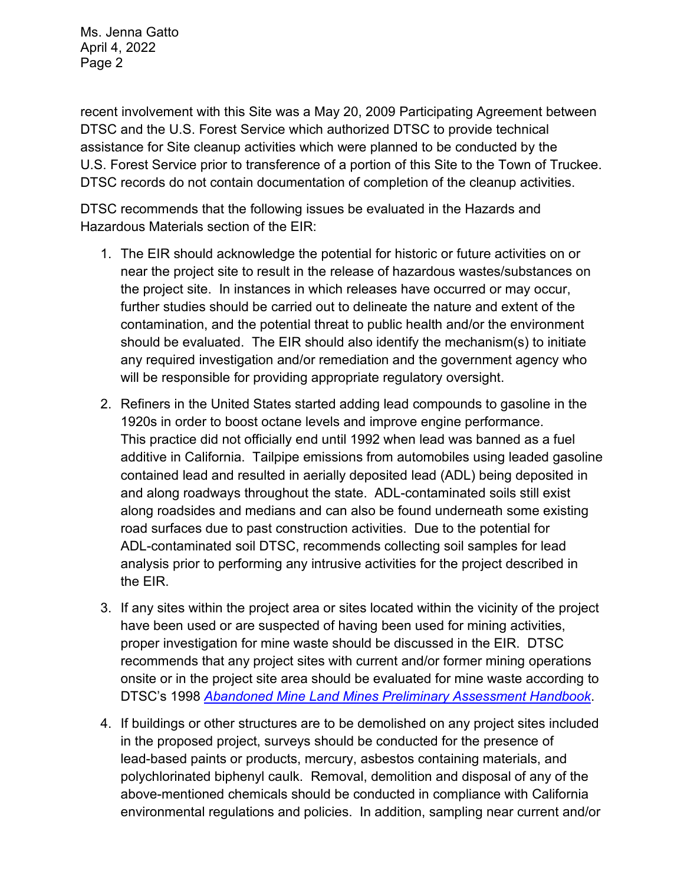Ms. Jenna Gatto April 4, 2022 Page 2

recent involvement with this Site was a May 20, 2009 Participating Agreement between DTSC and the U.S. Forest Service which authorized DTSC to provide technical assistance for Site cleanup activities which were planned to be conducted by the U.S. Forest Service prior to transference of a portion of this Site to the Town of Truckee. DTSC records do not contain documentation of completion of the cleanup activities.

DTSC recommends that the following issues be evaluated in the Hazards and Hazardous Materials section of the EIR:

- 1. The EIR should acknowledge the potential for historic or future activities on or near the project site to result in the release of hazardous wastes/substances on the project site. In instances in which releases have occurred or may occur, further studies should be carried out to delineate the nature and extent of the contamination, and the potential threat to public health and/or the environment should be evaluated. The EIR should also identify the mechanism(s) to initiate any required investigation and/or remediation and the government agency who will be responsible for providing appropriate regulatory oversight.
- 2. Refiners in the United States started adding lead compounds to gasoline in the 1920s in order to boost octane levels and improve engine performance. This practice did not officially end until 1992 when lead was banned as a fuel additive in California. Tailpipe emissions from automobiles using leaded gasoline contained lead and resulted in aerially deposited lead (ADL) being deposited in and along roadways throughout the state. ADL-contaminated soils still exist along roadsides and medians and can also be found underneath some existing road surfaces due to past construction activities. Due to the potential for ADL-contaminated soil DTSC, recommends collecting soil samples for lead analysis prior to performing any intrusive activities for the project described in the EIR.
- 3. If any sites within the project area or sites located within the vicinity of the project have been used or are suspected of having been used for mining activities, proper investigation for mine waste should be discussed in the EIR. DTSC recommends that any project sites with current and/or former mining operations onsite or in the project site area should be evaluated for mine waste according to DTSC's 1998 *[Abandoned Mine Land Mines Preliminary Assessment Handbook](https://dtsc.ca.gov/2020/04/17/document-request/?wpf337186_14=https://dtsc.ca.gov/wp-content/uploads/sites/31/2018/11/aml_handbook.pdf)*.
- 4. If buildings or other structures are to be demolished on any project sites included in the proposed project, surveys should be conducted for the presence of lead-based paints or products, mercury, asbestos containing materials, and polychlorinated biphenyl caulk. Removal, demolition and disposal of any of the above-mentioned chemicals should be conducted in compliance with California environmental regulations and policies. In addition, sampling near current and/or